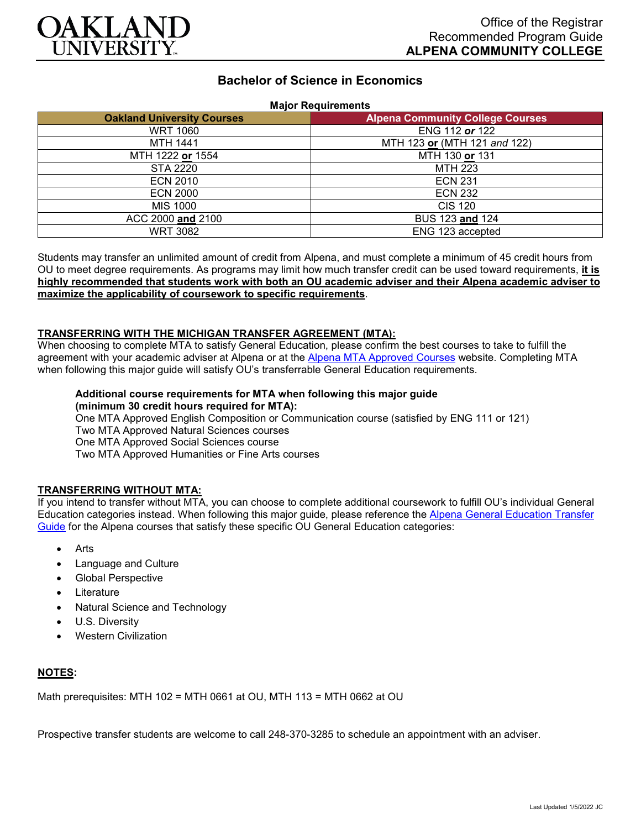

# **Bachelor of Science in Economics**

|  |  | <b>Major Requirements</b> |
|--|--|---------------------------|
|  |  |                           |

| <b>Oakland University Courses</b> | <b>Alpena Community College Courses</b> |  |
|-----------------------------------|-----------------------------------------|--|
| <b>WRT 1060</b>                   | ENG 112 or 122                          |  |
| <b>MTH 1441</b>                   | MTH 123 or (MTH 121 and 122)            |  |
| MTH 1222 or 1554                  | MTH 130 or 131                          |  |
| STA 2220                          | <b>MTH 223</b>                          |  |
| <b>ECN 2010</b>                   | <b>ECN 231</b>                          |  |
| <b>ECN 2000</b>                   | <b>ECN 232</b>                          |  |
| <b>MIS 1000</b>                   | <b>CIS 120</b>                          |  |
| ACC 2000 and 2100                 | BUS 123 and 124                         |  |
| <b>WRT 3082</b>                   | ENG 123 accepted                        |  |

Students may transfer an unlimited amount of credit from Alpena, and must complete a minimum of 45 credit hours from OU to meet degree requirements. As programs may limit how much transfer credit can be used toward requirements, **it is highly recommended that students work with both an OU academic adviser and their Alpena academic adviser to maximize the applicability of coursework to specific requirements**.

### **TRANSFERRING WITH THE MICHIGAN TRANSFER AGREEMENT (MTA):**

When choosing to complete MTA to satisfy General Education, please confirm the best courses to take to fulfill the agreement with your academic adviser at Alpena or at the [Alpena MTA Approved Courses](https://discover.alpenacc.edu/admissions/current_students/MTA.php) website. Completing MTA when following this major guide will satisfy OU's transferrable General Education requirements.

#### **Additional course requirements for MTA when following this major guide (minimum 30 credit hours required for MTA):**

One MTA Approved English Composition or Communication course (satisfied by ENG 111 or 121) Two MTA Approved Natural Sciences courses One MTA Approved Social Sciences course Two MTA Approved Humanities or Fine Arts courses

## **TRANSFERRING WITHOUT MTA:**

If you intend to transfer without MTA, you can choose to complete additional coursework to fulfill OU's individual General Education categories instead. When following this major guide, please reference the [Alpena General Education Transfer](https://www.oakland.edu/Assets/Oakland/program-guides/alpena-community-college/university-general-education-requirements/Alpena%20Gen%20Ed.pdf)  [Guide](https://www.oakland.edu/Assets/Oakland/program-guides/alpena-community-college/university-general-education-requirements/Alpena%20Gen%20Ed.pdf) for the Alpena courses that satisfy these specific OU General Education categories:

- **Arts**
- Language and Culture
- Global Perspective
- **Literature**
- Natural Science and Technology
- U.S. Diversity
- Western Civilization

### **NOTES:**

Math prerequisites: MTH 102 = MTH 0661 at OU, MTH 113 = MTH 0662 at OU

Prospective transfer students are welcome to call 248-370-3285 to schedule an appointment with an adviser.